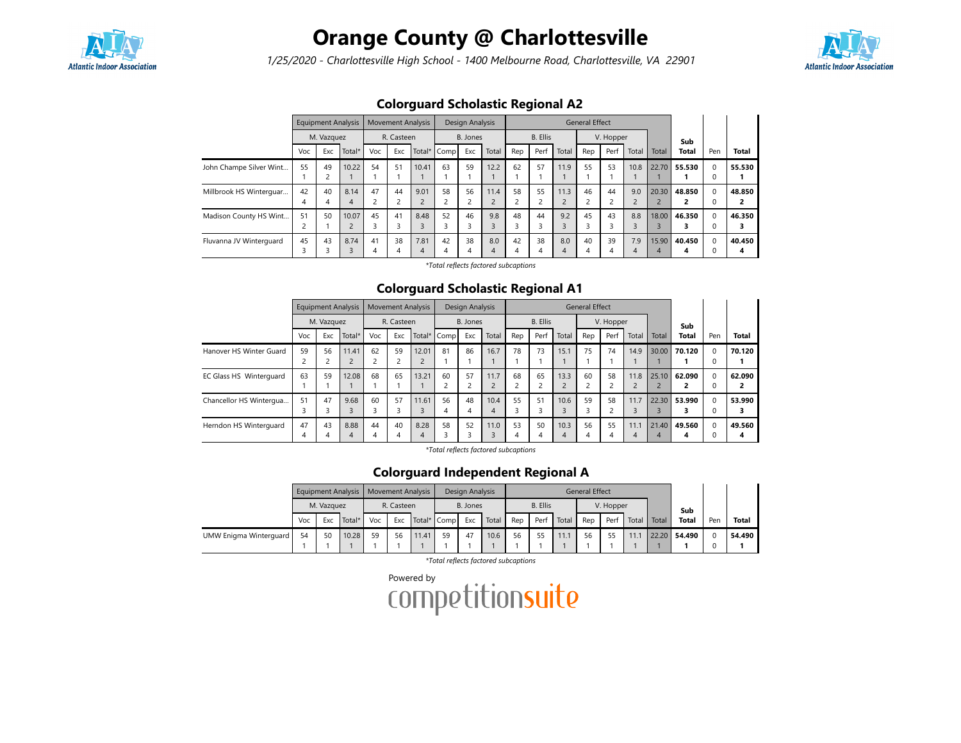

# Orange County @ Charlottesville

1/25/2020 - Charlottesville High School - 1400 Melbourne Road, Charlottesville, VA 22901



|                         |                       |            | Equipment Analysis      |     | <b>Movement Analysis</b> |           |             | Design Analysis |       |         |                 |                    | <b>General Effect</b> |           |                           |                                  |              |                           |             |
|-------------------------|-----------------------|------------|-------------------------|-----|--------------------------|-----------|-------------|-----------------|-------|---------|-----------------|--------------------|-----------------------|-----------|---------------------------|----------------------------------|--------------|---------------------------|-------------|
|                         |                       | M. Vazquez |                         |     | R. Casteen               |           |             | B. Jones        |       |         | <b>B.</b> Ellis |                    |                       | V. Hopper |                           |                                  | Sub          |                           |             |
|                         | Voc                   | Exc        | Total*                  | Voc | Exc                      |           | Total* Comp | Exc             | Total | Rep     | Perf            | Total              | Rep                   | Perf      | Total                     | Total                            | <b>Total</b> | Pen                       | Total       |
| John Champe Silver Wint | 55                    | 49         | 10.22                   | 54  | 51                       | 10.41     | 63          | 59              | 12.2  | 62      | 57              | 11.9               | 55                    | 53        | 10.8                      | 22.70                            | 55.530       | $\Omega$<br>C             | 55.530      |
| Millbrook HS Winterguar | 42<br>4               | 40         | 8.14<br>4               | 47  | 44<br>$\overline{c}$     | 9.01      | 58          | 56<br>∍         | 11.4  | 58<br>2 | 55              | 11.3<br>$\epsilon$ | 46                    | 44        | 9.0<br>$\mathcal{L}$<br>ے | 20.30<br>2                       | 48.850       | $\Omega$<br>$\Omega$      | 48.850      |
| Madison County HS Wint  | 51<br>∍<br>$\epsilon$ | 50         | 10.07<br>$\overline{2}$ | 45  | 41<br>3                  | 8.48      | 52          | 46<br>3         | 9.8   | 48<br>3 | 44<br>Р         | 9.2<br>3           | 45                    | 43        | 8.8<br>3                  | 18.00<br>$\overline{\mathbf{3}}$ | 46.350       | $\Omega$<br>$\mathcal{C}$ | 46.350      |
| Fluvanna JV Winterquard | 45<br>3               | 43         | 8.74<br>3               | 41  | 38<br>4                  | 7.81<br>4 | 42          | 38<br>4         | 8.0   | 42<br>4 | 38<br>4         | 8.0<br>4           | 40<br>4               | 39        | 7.9<br>4                  | 15.90<br>4                       | 40.450<br>4  | $\Omega$<br>$\mathsf{C}$  | 40.450<br>4 |

## Colorguard Scholastic Regional A2

\*Total reflects factored subcaptions

#### Colorguard Scholastic Regional A1

|                         |     | <b>Equipment Analysis</b> |                     |         | <b>Movement Analysis</b> |           |             | Design Analysis |           |         |                 |           | <b>General Effect</b> |           |           |       |              |          |              |
|-------------------------|-----|---------------------------|---------------------|---------|--------------------------|-----------|-------------|-----------------|-----------|---------|-----------------|-----------|-----------------------|-----------|-----------|-------|--------------|----------|--------------|
|                         |     | M. Vazquez                |                     |         | R. Casteen               |           |             | B. Jones        |           |         | <b>B.</b> Ellis |           |                       | V. Hopper |           |       | Sub          |          |              |
|                         | Voc | Exc                       | Total*              | Voc     | Exc                      |           | Total* Comp | Exc             | Total     | Rep     | Perf            | Total     | Rep                   | Perf      | Total     | Total | <b>Total</b> | Pen      | <b>Total</b> |
| Hanover HS Winter Guard | 59  | 56                        | 11.41<br>$\epsilon$ | 62      | 59<br>$\overline{2}$     | 12.01     | 81          | 86              | 16.7      | 78      | 73              | 15.1      | 75                    | 74        | 14.9      | 30.00 | 70.120       | $\Omega$ | 70.120       |
| EC Glass HS Winterguard | 63  | 59                        | 12.08               | 68      | 65                       | 13.21     | 60          | 57              | 11.7      | 68<br>2 | 65              | 13.3      | 60                    | 58        | 11.8      | 25.10 | 62.090       | $\Omega$ | 62.090<br>2  |
| Chancellor HS Wintergua | 51  | 47                        | 9.68                | 60      | 57<br>3                  | 11.61     | 56<br>4     | 48              | 10.4<br>4 | 55<br>3 | 51              | 10.6<br>3 | 59                    | 58        | 11.7      | 22.30 | 53.990       | $\Omega$ | 53.990<br>3  |
| Herndon HS Winterguard  | 47  | 43                        | 8.88<br>4           | 44<br>4 | 40<br>4                  | 8.28<br>4 | 58          | 52              | 11.0      | 53<br>4 | 50              | 10.3<br>4 | 56<br>4               | 55        | 11.1<br>4 | 21.40 | 49.560<br>4  | $\Omega$ | 49.560<br>4  |

\*Total reflects factored subcaptions

#### Colorguard Independent Regional A

|                        |     |            | Equipment Analysis   Movement Analysis |     |            |             |    | Design Analysis |       |     |                 |       | <b>General Effect</b> |           |       |       |              |     |              |
|------------------------|-----|------------|----------------------------------------|-----|------------|-------------|----|-----------------|-------|-----|-----------------|-------|-----------------------|-----------|-------|-------|--------------|-----|--------------|
|                        |     | M. Vazguez |                                        |     | R. Casteen |             |    | B. Jones        |       |     | <b>B.</b> Ellis |       |                       | V. Hopper |       |       | Sub          |     |              |
|                        | Voc | Exc        | Total*                                 | Voc | Exc        | Total* Comp |    | Exc             | Total | Rep | Perf            | Total | Rep                   | Perf      | Total | Total | <b>Total</b> | Pen | <b>Total</b> |
| UMW Enigma Winterguard | 54  | 50         | 10.28                                  | 59  | 56         | 11.41       | 59 | 47              | 10.6  | 56  | 55              | 11.1  | 56                    |           | 11.1  |       | 22.20 54.490 |     | 54.490       |
|                        |     |            |                                        |     |            |             |    |                 |       |     |                 |       |                       |           |       |       |              |     |              |

\*Total reflects factored subcaptions

Powered by<br>COMPetitionsuite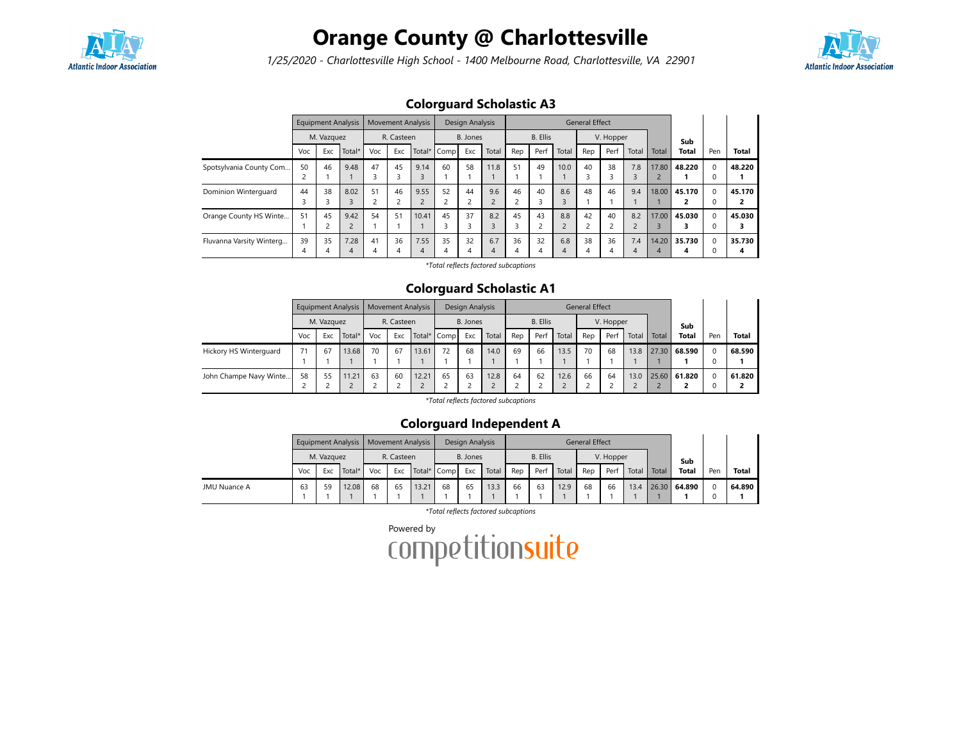

## Orange County @ Charlottesville

1/25/2020 - Charlottesville High School - 1400 Melbourne Road, Charlottesville, VA 22901



## Colorguard Scholastic A3

|                          |                     | <b>Equipment Analysis</b> |                        |         | <b>Movement Analysis</b> |           |             | Design Analysis |          |                      |                 |       | <b>General Effect</b>     |           |                   |            |              |               |              |
|--------------------------|---------------------|---------------------------|------------------------|---------|--------------------------|-----------|-------------|-----------------|----------|----------------------|-----------------|-------|---------------------------|-----------|-------------------|------------|--------------|---------------|--------------|
|                          |                     | M. Vazquez                |                        |         | R. Casteen               |           |             | B. Jones        |          |                      | <b>B.</b> Ellis |       |                           | V. Hopper |                   |            | Sub          |               |              |
|                          | Voc                 | Exc                       | Total*                 | Voc     | Exc                      |           | Total* Comp | Exc             | Total    | Rep                  | Perf            | Total | Rep                       | Perf      | Total             | Total      | <b>Total</b> | Pen           | <b>Total</b> |
| Spotsylvania County Com  | 50                  | 46                        | 9.48                   | 47      | 45                       | 9.14      | 60          | 58              | 11.8     | 51                   | 49              | 10.0  | 40<br>ъ.                  | 38<br>3   | 7.8               | 17.80      | 48.220       | $\Omega$<br>0 | 48.220       |
| Dominion Winterguard     | 44<br><u>ີ</u><br>3 | 38                        | 8.02                   | 51      | 46                       | 9.55      | 52          | 44<br>2         | 9.6      | 46<br>$\overline{ }$ | 40<br>Р         | 8.6   | 48                        | 46        | 9.4               | 18.00      | 45.170       | $\Omega$<br>0 | 45.170       |
| Orange County HS Winte   | 51                  | 45                        | 9.42<br>$\overline{2}$ | 54      | 51                       | 10.41     | 45          | 37<br>3         | 8.2      | 45<br>3              | 43              | 8.8   | 42<br>$\overline{ }$<br>ے | 40        | 8.2<br>$\epsilon$ | 17.00      | 45.030       | $\Omega$<br>0 | 45.030       |
| Fluvanna Varsity Winterg | 39<br>4             | 35<br>Δ                   | 7.28<br>4              | 41<br>4 | 36<br>4                  | 7.55<br>4 | 35<br>4     | 32<br>4         | 6.7<br>4 | 36<br>4              | 32<br>4         | 6.8   | 38<br>4                   | 36<br>4   | 7.4<br>4          | 14.20<br>4 | 35.730<br>Δ  | $\Omega$<br>O | 35.730<br>4  |

\*Total reflects factored subcaptions

#### Colorguard Scholastic A1

|                        |     |            | <b>Equipment Analysis</b> |     | <b>Movement Analysis</b> |             |    | Design Analysis |       |     |                 |       | <b>General Effect</b> |           |       |       |              |          |              |
|------------------------|-----|------------|---------------------------|-----|--------------------------|-------------|----|-----------------|-------|-----|-----------------|-------|-----------------------|-----------|-------|-------|--------------|----------|--------------|
|                        |     | M. Vazquez |                           |     | R. Casteen               |             |    | B. Jones        |       |     | <b>B.</b> Ellis |       |                       | V. Hopper |       |       | Sub          |          |              |
|                        | Voc | Exc        | Total*                    | Voc | Exc                      | Total* Comp |    | Exc             | Total | Rep | Perf            | Total | Rep                   | Perf      | Total | Total | <b>Total</b> | Pen      | <b>Total</b> |
| Hickory HS Winterguard |     | 67         | 13.68                     | 70  | 67                       | 13.61       | 72 | 68              | 14.0  | 69  | 66              | 13.5  | 70                    | 68        | 13.8  |       | 27.30 68.590 | $\Omega$ | 68.590       |
|                        |     |            |                           |     |                          |             |    |                 |       |     |                 |       |                       |           |       |       |              | 0        |              |
| John Champe Navy Winte | 58  | 55         | 11.21                     | 63  | 60                       | 12.21       | 65 | 63              | 12.8  | 64  | 62              | 12.6  | 66                    | 64        | 13.0  |       | 25.60 61.820 | $\Omega$ | 61.820       |
|                        |     |            |                           |     |                          |             |    |                 |       |     |                 | L     |                       |           |       |       |              | 0        | ־            |

\*Total reflects factored subcaptions

#### Colorguard Independent A

|              |     |            | Equipment Analysis |     |            | <b>Movement Analysis</b> |    | Design Analysis |       |     |                              |       | <b>General Effect</b> |      |       |       |              |     |        |
|--------------|-----|------------|--------------------|-----|------------|--------------------------|----|-----------------|-------|-----|------------------------------|-------|-----------------------|------|-------|-------|--------------|-----|--------|
|              |     | M. Vazquez |                    |     | R. Casteen |                          |    | B. Jones        |       |     | <b>B.</b> Ellis<br>V. Hopper |       |                       |      | Sub   |       |              |     |        |
|              | Voc | Exc        | Total*             | Voc | Exc        | Total* Comp              |    | Exc             | Total | Rep | Perf                         | Total | Rep                   | Perf | Total | Total | <b>Total</b> | Pen | Total  |
| JMU Nuance A | 63  | 59         | 12.08              | 68  | 65         | 13.21                    | 68 | 65              | 13.3  | 66  | 63                           | 12.9  | 68                    | 66   | 13.4  |       | 26.30 64.890 |     | 64.890 |
|              |     |            |                    |     |            |                          |    |                 |       |     |                              |       |                       |      |       |       |              |     |        |

\*Total reflects factored subcaptions